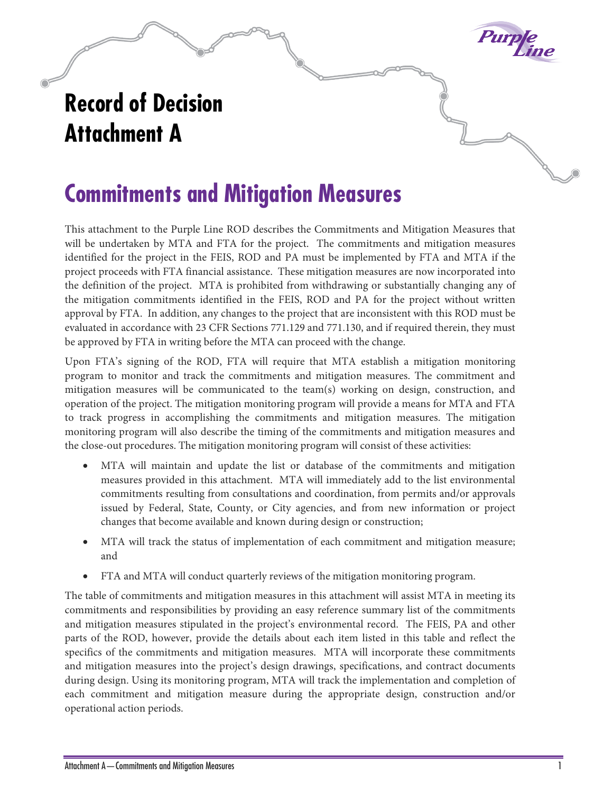## **Purple**

## **Record of Decision Attachment A**

## **Commitments and Mitigation Measures**

This attachment to the Purple Line ROD describes the Commitments and Mitigation Measures that will be undertaken by MTA and FTA for the project. The commitments and mitigation measures identified for the project in the FEIS, ROD and PA must be implemented by FTA and MTA if the project proceeds with FTA financial assistance. These mitigation measures are now incorporated into the definition of the project. MTA is prohibited from withdrawing or substantially changing any of the mitigation commitments identified in the FEIS, ROD and PA for the project without written approval by FTA. In addition, any changes to the project that are inconsistent with this ROD must be evaluated in accordance with 23 CFR Sections 771.129 and 771.130, and if required therein, they must be approved by FTA in writing before the MTA can proceed with the change.

Upon FTA's signing of the ROD, FTA will require that MTA establish a mitigation monitoring program to monitor and track the commitments and mitigation measures. The commitment and mitigation measures will be communicated to the team(s) working on design, construction, and operation of the project. The mitigation monitoring program will provide a means for MTA and FTA to track progress in accomplishing the commitments and mitigation measures. The mitigation monitoring program will also describe the timing of the commitments and mitigation measures and the close-out procedures. The mitigation monitoring program will consist of these activities:

- MTA will maintain and update the list or database of the commitments and mitigation measures provided in this attachment. MTA will immediately add to the list environmental commitments resulting from consultations and coordination, from permits and/or approvals issued by Federal, State, County, or City agencies, and from new information or project changes that become available and known during design or construction;
- MTA will track the status of implementation of each commitment and mitigation measure; and
- FTA and MTA will conduct quarterly reviews of the mitigation monitoring program.

The table of commitments and mitigation measures in this attachment will assist MTA in meeting its commitments and responsibilities by providing an easy reference summary list of the commitments and mitigation measures stipulated in the project's environmental record. The FEIS, PA and other parts of the ROD, however, provide the details about each item listed in this table and reflect the specifics of the commitments and mitigation measures. MTA will incorporate these commitments and mitigation measures into the project's design drawings, specifications, and contract documents during design. Using its monitoring program, MTA will track the implementation and completion of each commitment and mitigation measure during the appropriate design, construction and/or operational action periods.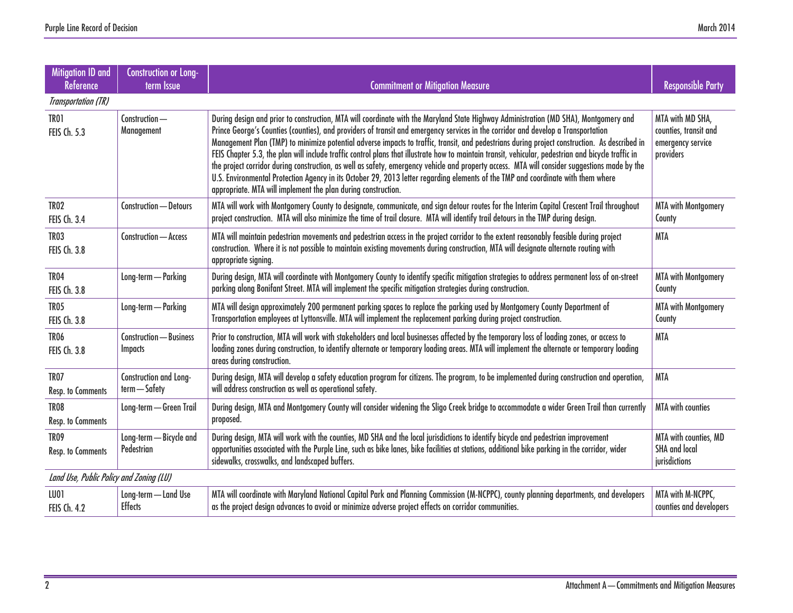| Mitigation ID and<br>Reference          | <b>Construction or Long-</b><br>term Issue | <b>Commitment or Mitigation Measure</b>                                                                                                                                                                                                                                                                                                                                                                                                                                                                                                                                                                                                                                                                                                                                                                                                                                                                                                 | <b>Responsible Party</b>                                                    |
|-----------------------------------------|--------------------------------------------|-----------------------------------------------------------------------------------------------------------------------------------------------------------------------------------------------------------------------------------------------------------------------------------------------------------------------------------------------------------------------------------------------------------------------------------------------------------------------------------------------------------------------------------------------------------------------------------------------------------------------------------------------------------------------------------------------------------------------------------------------------------------------------------------------------------------------------------------------------------------------------------------------------------------------------------------|-----------------------------------------------------------------------------|
| <b>Transportation (TR)</b>              |                                            |                                                                                                                                                                                                                                                                                                                                                                                                                                                                                                                                                                                                                                                                                                                                                                                                                                                                                                                                         |                                                                             |
| <b>TR01</b><br><b>FEIS Ch. 5.3</b>      | Construction-<br>Management                | During design and prior to construction, MTA will coordinate with the Maryland State Highway Administration (MD SHA), Montgomery and<br>Prince George's Counties (counties), and providers of transit and emergency services in the corridor and develop a Transportation<br>Management Plan (TMP) to minimize potential adverse impacts to traffic, transit, and pedestrians during project construction. As described in<br>FEIS Chapter 5.3, the plan will include traffic control plans that illustrate how to maintain transit, vehicular, pedestrian and bicycle traffic in<br>the project corridor during construction, as well as safety, emergency vehicle and property access. MTA will consider suggestions made by the<br>U.S. Environmental Protection Agency in its October 29, 2013 letter regarding elements of the TMP and coordinate with them where<br>appropriate. MTA will implement the plan during construction. | MTA with MD SHA,<br>counties, transit and<br>emergency service<br>providers |
| TR <sub>02</sub><br>FEIS Ch. 3.4        | Construction - Detours                     | MTA will work with Montgomery County to designate, communicate, and sign detour routes for the Interim Capital Crescent Trail throughout<br>project construction. MTA will also minimize the time of trail closure. MTA will identify trail detours in the TMP during design.                                                                                                                                                                                                                                                                                                                                                                                                                                                                                                                                                                                                                                                           | <b>MTA with Montgomery</b><br>County                                        |
| TR <sub>03</sub><br><b>FEIS Ch. 3.8</b> | Construction - Access                      | MTA will maintain pedestrian movements and pedestrian access in the project corridor to the extent reasonably feasible during project<br>construction. Where it is not possible to maintain existing movements during construction, MTA will designate alternate routing with<br>appropriate signing.                                                                                                                                                                                                                                                                                                                                                                                                                                                                                                                                                                                                                                   | <b>MTA</b>                                                                  |
| TR <sub>04</sub><br><b>FEIS Ch. 3.8</b> | Long-term - Parking                        | During design, MTA will coordinate with Montgomery County to identify specific mitigation strategies to address permanent loss of on-street<br>parking along Bonifant Street. MTA will implement the specific mitigation strategies during construction.                                                                                                                                                                                                                                                                                                                                                                                                                                                                                                                                                                                                                                                                                | <b>MTA with Montgomery</b><br>County                                        |
| <b>TR05</b><br><b>FEIS Ch. 3.8</b>      | Long-term - Parking                        | MTA will design approximately 200 permanent parking spaces to replace the parking used by Montgomery County Department of<br>Transportation employees at Lyttonsville. MTA will implement the replacement parking during project construction.                                                                                                                                                                                                                                                                                                                                                                                                                                                                                                                                                                                                                                                                                          | <b>MTA with Montgomery</b><br>County                                        |
| TR <sub>06</sub><br><b>FEIS Ch. 3.8</b> | Construction - Business<br><b>Impacts</b>  | Prior to construction, MTA will work with stakeholders and local businesses affected by the temporary loss of loading zones, or access to<br>loading zones during construction, to identify alternate or temporary loading areas. MTA will implement the alternate or temporary loading<br>areas during construction.                                                                                                                                                                                                                                                                                                                                                                                                                                                                                                                                                                                                                   | <b>MTA</b>                                                                  |
| TR <sub>07</sub><br>Resp. to Comments   | Construction and Long-<br>term - Safety    | During design, MTA will develop a safety education program for citizens. The program, to be implemented during construction and operation,<br>will address construction as well as operational safety.                                                                                                                                                                                                                                                                                                                                                                                                                                                                                                                                                                                                                                                                                                                                  | <b>MTA</b>                                                                  |
| TR <sub>08</sub><br>Resp. to Comments   | Long-term - Green Trail                    | During design, MTA and Montgomery County will consider widening the Sligo Creek bridge to accommodate a wider Green Trail than currently<br>proposed.                                                                                                                                                                                                                                                                                                                                                                                                                                                                                                                                                                                                                                                                                                                                                                                   | <b>MTA</b> with counties                                                    |
| TR <sub>09</sub><br>Resp. to Comments   | Long-term - Bicycle and<br>Pedestrian      | During design, MTA will work with the counties, MD SHA and the local jurisdictions to identify bicycle and pedestrian improvement<br>opportunities associated with the Purple Line, such as bike lanes, bike facilities at stations, additional bike parking in the corridor, wider<br>sidewalks, crosswalks, and landscaped buffers.                                                                                                                                                                                                                                                                                                                                                                                                                                                                                                                                                                                                   | MTA with counties, MD<br><b>SHA and local</b><br>jurisdictions              |
| Land Use, Public Policy and Zoning (LU) |                                            |                                                                                                                                                                                                                                                                                                                                                                                                                                                                                                                                                                                                                                                                                                                                                                                                                                                                                                                                         |                                                                             |
| LU01<br><b>FEIS Ch. 4.2</b>             | Long-term - Land Use<br><b>Effects</b>     | MTA will coordinate with Maryland National Capital Park and Planning Commission (M-NCPPC), county planning departments, and developers<br>as the project design advances to avoid or minimize adverse project effects on corridor communities.                                                                                                                                                                                                                                                                                                                                                                                                                                                                                                                                                                                                                                                                                          | MTA with M-NCPPC,<br>counties and developers                                |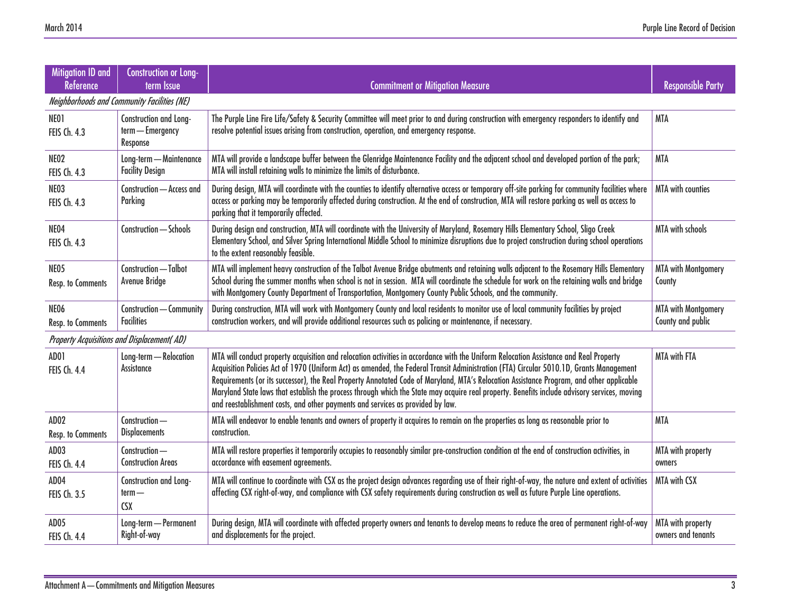| <b>Mitigation ID and</b><br><b>Reference</b>      | <b>Construction or Long-</b><br>term Issue             | <b>Commitment or Mitigation Measure</b>                                                                                                                                                                                                                                                                                                                                                                                                                                                                                                                                                                                                                         | <b>Responsible Party</b>                        |
|---------------------------------------------------|--------------------------------------------------------|-----------------------------------------------------------------------------------------------------------------------------------------------------------------------------------------------------------------------------------------------------------------------------------------------------------------------------------------------------------------------------------------------------------------------------------------------------------------------------------------------------------------------------------------------------------------------------------------------------------------------------------------------------------------|-------------------------------------------------|
| Neighborhoods and Community Facilities (NE)       |                                                        |                                                                                                                                                                                                                                                                                                                                                                                                                                                                                                                                                                                                                                                                 |                                                 |
| NEO1<br><b>FEIS Ch. 4.3</b>                       | Construction and Long-<br>term - Emergency<br>Response | The Purple Line Fire Life/Safety & Security Committee will meet prior to and during construction with emergency responders to identify and<br>resolve potential issues arising from construction, operation, and emergency response.                                                                                                                                                                                                                                                                                                                                                                                                                            | <b>MTA</b>                                      |
| NEO2<br>FEIS Ch. 4.3                              | Long-term - Maintenance<br><b>Facility Design</b>      | MTA will provide a landscape buffer between the Glenridge Maintenance Facility and the adjacent school and developed portion of the park;<br>MTA will install retaining walls to minimize the limits of disturbance.                                                                                                                                                                                                                                                                                                                                                                                                                                            | <b>MTA</b>                                      |
| NE03<br>FEIS Ch. 4.3                              | Construction - Access and<br>Parking                   | During design, MTA will coordinate with the counties to identify alternative access or temporary off-site parking for community facilities where<br>access or parking may be temporarily affected during construction. At the end of construction, MTA will restore parking as well as access to<br>parking that it temporarily affected.                                                                                                                                                                                                                                                                                                                       | <b>MTA</b> with counties                        |
| NE04<br>FEIS Ch. 4.3                              | Construction - Schools                                 | During design and construction, MTA will coordinate with the University of Maryland, Rosemary Hills Elementary School, Sligo Creek<br>Elementary School, and Silver Spring International Middle School to minimize disruptions due to project construction during school operations<br>to the extent reasonably feasible.                                                                                                                                                                                                                                                                                                                                       | <b>MTA with schools</b>                         |
| NE05<br><b>Resp. to Comments</b>                  | Construction - Talbot<br>Avenue Bridge                 | MTA will implement heavy construction of the Talbot Avenue Bridge abutments and retaining walls adjacent to the Rosemary Hills Elementary<br>School during the summer months when school is not in session. MTA will coordinate the schedule for work on the retaining walls and bridge<br>with Montgomery County Department of Transportation, Montgomery County Public Schools, and the community.                                                                                                                                                                                                                                                            | <b>MTA with Montgomery</b><br>County            |
| NEO6<br>Resp. to Comments                         | Construction - Community<br><b>Facilities</b>          | During construction, MTA will work with Montgomery County and local residents to monitor use of local community facilities by project<br>construction workers, and will provide additional resources such as policing or maintenance, if necessary.                                                                                                                                                                                                                                                                                                                                                                                                             | <b>MTA with Montgomery</b><br>County and public |
| <b>Property Acquisitions and Displacement(AD)</b> |                                                        |                                                                                                                                                                                                                                                                                                                                                                                                                                                                                                                                                                                                                                                                 |                                                 |
| AD01<br><b>FEIS Ch. 4.4</b>                       | Long-term - Relocation<br><b>Assistance</b>            | MTA will conduct property acquisition and relocation activities in accordance with the Uniform Relocation Assistance and Real Property<br>Acquisition Policies Act of 1970 (Uniform Act) as amended, the Federal Transit Administration (FTA) Circular 5010.1D, Grants Management<br>Requirements (or its successor), the Real Property Annotated Code of Maryland, MTA's Relocation Assistance Program, and other applicable<br>Maryland State laws that establish the process through which the State may acquire real property. Benefits include advisory services, moving<br>and reestablishment costs, and other payments and services as provided by law. | <b>MTA with FTA</b>                             |
| AD <sub>02</sub><br>Resp. to Comments             | Construction-<br><b>Displacements</b>                  | MTA will endeavor to enable tenants and owners of property it acquires to remain on the properties as long as reasonable prior to<br>construction.                                                                                                                                                                                                                                                                                                                                                                                                                                                                                                              | <b>MTA</b>                                      |
| AD03<br><b>FEIS Ch. 4.4</b>                       | Construction-<br><b>Construction Areas</b>             | MTA will restore properties it temporarily occupies to reasonably similar pre-construction condition at the end of construction activities, in<br>accordance with easement agreements.                                                                                                                                                                                                                                                                                                                                                                                                                                                                          | MTA with property<br>owners                     |
| AD <sub>04</sub><br>FEIS Ch. 3.5                  | Construction and Long-<br>$term -$<br><b>CSX</b>       | MTA will continue to coordinate with CSX as the project design advances regarding use of their right-of-way, the nature and extent of activities<br>affecting CSX right-of-way, and compliance with CSX safety requirements during construction as well as future Purple Line operations.                                                                                                                                                                                                                                                                                                                                                                       | <b>MTA with CSX</b>                             |
| AD <sub>05</sub><br><b>FEIS Ch. 4.4</b>           | Long-term - Permanent<br>Right-of-way                  | During design, MTA will coordinate with affected property owners and tenants to develop means to reduce the area of permanent right-of-way<br>and displacements for the project.                                                                                                                                                                                                                                                                                                                                                                                                                                                                                | MTA with property<br>owners and tenants         |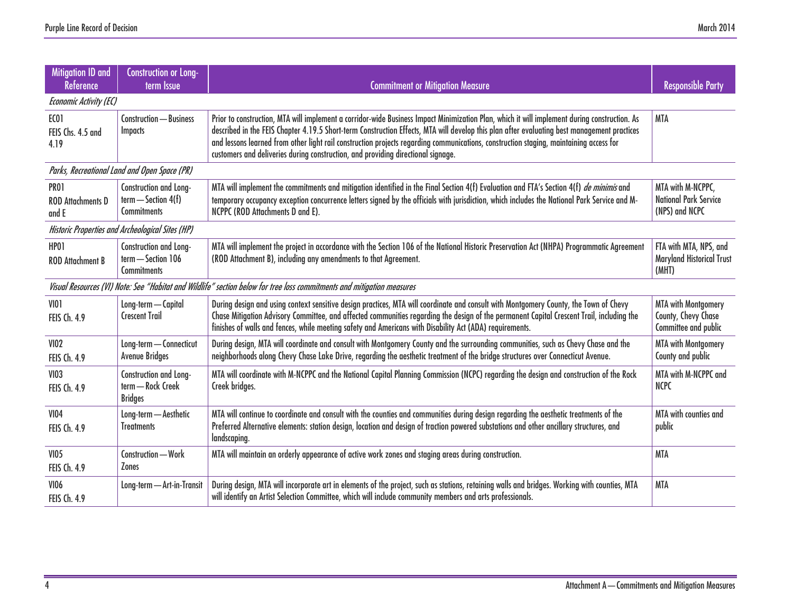| Mitigation ID and<br><b>Reference</b>            | <b>Construction or Long-</b><br>term Issue                            | <b>Commitment or Mitigation Measure</b>                                                                                                                                                                                                                                                                                                                                                                                                                                                                                   | <b>Responsible Party</b>                                                  |
|--------------------------------------------------|-----------------------------------------------------------------------|---------------------------------------------------------------------------------------------------------------------------------------------------------------------------------------------------------------------------------------------------------------------------------------------------------------------------------------------------------------------------------------------------------------------------------------------------------------------------------------------------------------------------|---------------------------------------------------------------------------|
| Economic Activity (EC)                           |                                                                       |                                                                                                                                                                                                                                                                                                                                                                                                                                                                                                                           |                                                                           |
| EC01<br>FEIS Chs. 4.5 and<br>4.19                | <b>Construction - Business</b><br><b>Impacts</b>                      | Prior to construction, MTA will implement a corridor-wide Business Impact Minimization Plan, which it will implement during construction. As<br>described in the FEIS Chapter 4.19.5 Short-term Construction Effects, MTA will develop this plan after evaluating best management practices<br>and lessons learned from other light rail construction projects regarding communications, construction staging, maintaining access for<br>customers and deliveries during construction, and providing directional signage. | <b>MTA</b>                                                                |
|                                                  | Parks, Recreational Land and Open Space (PR)                          |                                                                                                                                                                                                                                                                                                                                                                                                                                                                                                                           |                                                                           |
| <b>PR01</b><br><b>ROD Attachments D</b><br>and E | Construction and Long-<br>$term$ - Section 4(f)<br><b>Commitments</b> | MTA will implement the commitments and mitigation identified in the Final Section 4(f) Evaluation and FTA's Section 4(f) de minimis and<br>temporary occupancy exception concurrence letters signed by the officials with jurisdiction, which includes the National Park Service and M-<br>NCPPC (ROD Attachments D and E).                                                                                                                                                                                               | MTA with M-NCPPC,<br><b>National Park Service</b><br>(NPS) and NCPC       |
|                                                  | Historic Properties and Archeological Sites (HP)                      |                                                                                                                                                                                                                                                                                                                                                                                                                                                                                                                           |                                                                           |
| HP01<br><b>ROD Attachment B</b>                  | Construction and Long-<br>term - Section 106<br><b>Commitments</b>    | MTA will implement the project in accordance with the Section 106 of the National Historic Preservation Act (NHPA) Programmatic Agreement<br>(ROD Attachment B), including any amendments to that Agreement.                                                                                                                                                                                                                                                                                                              | FTA with MTA, NPS, and<br><b>Maryland Historical Trust</b><br>(MHT)       |
|                                                  |                                                                       | Visual Resources (VI) Note: See "Habitat and Wildlife" section below for tree loss commitments and mitigation measures                                                                                                                                                                                                                                                                                                                                                                                                    |                                                                           |
| <b>VIO1</b><br>FEIS Ch. 4.9                      | Long-term - Capital<br><b>Crescent Trail</b>                          | During design and using context sensitive design practices, MTA will coordinate and consult with Montgomery County, the Town of Chevy<br>Chase Mitigation Advisory Committee, and affected communities regarding the design of the permanent Capital Crescent Trail, including the<br>finishes of walls and fences, while meeting safety and Americans with Disability Act (ADA) requirements.                                                                                                                            | <b>MTA with Montgomery</b><br>County, Chevy Chase<br>Committee and public |
| <b>VIO2</b><br><b>FEIS Ch. 4.9</b>               | Long-term - Connecticut<br><b>Avenue Bridges</b>                      | During design, MTA will coordinate and consult with Montgomery County and the surrounding communities, such as Chevy Chase and the<br>neighborhoods along Chevy Chase Lake Drive, regarding the aesthetic treatment of the bridge structures over Connecticut Avenue.                                                                                                                                                                                                                                                     | <b>MTA with Montgomery</b><br>County and public                           |
| <b>VI03</b><br><b>FEIS Ch. 4.9</b>               | Construction and Long-<br>term - Rock Creek<br><b>Bridges</b>         | MTA will coordinate with M-NCPPC and the National Capital Planning Commission (NCPC) regarding the design and construction of the Rock<br>Creek bridges.                                                                                                                                                                                                                                                                                                                                                                  | MTA with M-NCPPC and<br><b>NCPC</b>                                       |
| <b>VI04</b><br><b>FEIS Ch. 4.9</b>               | Long-term - Aesthetic<br><b>Treatments</b>                            | MTA will continue to coordinate and consult with the counties and communities during design regarding the aesthetic treatments of the<br>Preferred Alternative elements: station design, location and design of traction powered substations and other ancillary structures, and<br>landscaping.                                                                                                                                                                                                                          | MTA with counties and<br>public                                           |
| <b>VI05</b><br><b>FEIS Ch. 4.9</b>               | Construction - Work<br><b>Zones</b>                                   | MTA will maintain an orderly appearance of active work zones and staging areas during construction.                                                                                                                                                                                                                                                                                                                                                                                                                       | <b>MTA</b>                                                                |
| <b>VI06</b><br>FEIS Ch. 4.9                      | Long-term - Art-in-Transit                                            | During design, MTA will incorporate art in elements of the project, such as stations, retaining walls and bridges. Working with counties, MTA<br>will identify an Artist Selection Committee, which will include community members and arts professionals.                                                                                                                                                                                                                                                                | <b>MTA</b>                                                                |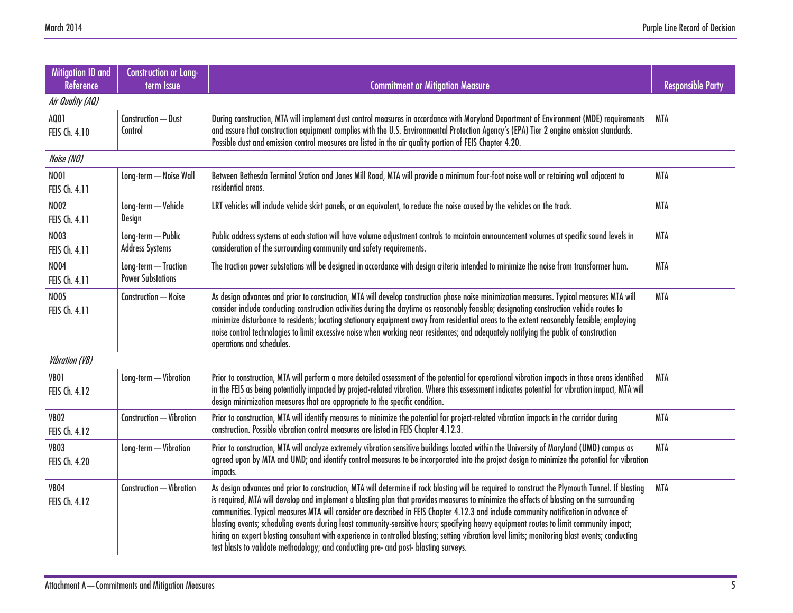| <b>Mitigation ID and</b><br><b>Reference</b> | <b>Construction or Long-</b><br>term Issue       | <b>Commitment or Mitigation Measure</b>                                                                                                                                                                                                                                                                                                                                                                                                                                                                                                                                                                                                                                                                                                                                                                                       | <b>Responsible Party</b> |
|----------------------------------------------|--------------------------------------------------|-------------------------------------------------------------------------------------------------------------------------------------------------------------------------------------------------------------------------------------------------------------------------------------------------------------------------------------------------------------------------------------------------------------------------------------------------------------------------------------------------------------------------------------------------------------------------------------------------------------------------------------------------------------------------------------------------------------------------------------------------------------------------------------------------------------------------------|--------------------------|
| Air Quality (AQ)                             |                                                  |                                                                                                                                                                                                                                                                                                                                                                                                                                                                                                                                                                                                                                                                                                                                                                                                                               |                          |
| AQ01<br>FEIS Ch. 4.10                        | Construction - Dust<br>Control                   | During construction, MTA will implement dust control measures in accordance with Maryland Department of Environment (MDE) requirements<br>and assure that construction equipment complies with the U.S. Environmental Protection Agency's (EPA) Tier 2 engine emission standards.<br>Possible dust and emission control measures are listed in the air quality portion of FEIS Chapter 4.20.                                                                                                                                                                                                                                                                                                                                                                                                                                  | <b>MTA</b>               |
| Noise (NO)                                   |                                                  |                                                                                                                                                                                                                                                                                                                                                                                                                                                                                                                                                                                                                                                                                                                                                                                                                               |                          |
| <b>NO01</b><br>FEIS Ch. 4.11                 | Long-term - Noise Wall                           | Between Bethesda Terminal Station and Jones Mill Road, MTA will provide a minimum four-foot noise wall or retaining wall adjacent to<br>residential areas.                                                                                                                                                                                                                                                                                                                                                                                                                                                                                                                                                                                                                                                                    | <b>MTA</b>               |
| <b>NO02</b><br><b>FEIS Ch. 4.11</b>          | Long-term - Vehicle<br>Design                    | LRT vehicles will include vehicle skirt panels, or an equivalent, to reduce the noise caused by the vehicles on the track.                                                                                                                                                                                                                                                                                                                                                                                                                                                                                                                                                                                                                                                                                                    | <b>MTA</b>               |
| <b>NO03</b><br>FEIS Ch. 4.11                 | Long-term - Public<br><b>Address Systems</b>     | Public address systems at each station will have volume adjustment controls to maintain announcement volumes at specific sound levels in<br>consideration of the surrounding community and safety requirements.                                                                                                                                                                                                                                                                                                                                                                                                                                                                                                                                                                                                               | <b>MTA</b>               |
| <b>NO04</b><br>FEIS Ch. 4.11                 | Long-term - Traction<br><b>Power Substations</b> | The traction power substations will be designed in accordance with design criteria intended to minimize the noise from transformer hum.                                                                                                                                                                                                                                                                                                                                                                                                                                                                                                                                                                                                                                                                                       | <b>MTA</b>               |
| <b>NO05</b><br><b>FEIS Ch. 4.11</b>          | Construction - Noise                             | As design advances and prior to construction, MTA will develop construction phase noise minimization measures. Typical measures MTA will<br>consider include conducting construction activities during the daytime as reasonably feasible; designating construction vehicle routes to<br>minimize disturbance to residents; locating stationary equipment away from residential areas to the extent reasonably feasible; employing<br>noise control technologies to limit excessive noise when working near residences; and adequately notifying the public of construction<br>operations and schedules.                                                                                                                                                                                                                      | <b>MTA</b>               |
| <b>Vibration (VB)</b>                        |                                                  |                                                                                                                                                                                                                                                                                                                                                                                                                                                                                                                                                                                                                                                                                                                                                                                                                               |                          |
| VB01<br>FEIS Ch. 4.12                        | Long-term - Vibration                            | Prior to construction, MTA will perform a more detailed assessment of the potential for operational vibration impacts in those areas identified<br>in the FEIS as being potentially impacted by project-related vibration. Where this assessment indicates potential for vibration impact, MTA will<br>design minimization measures that are appropriate to the specific condition.                                                                                                                                                                                                                                                                                                                                                                                                                                           | <b>MTA</b>               |
| VB <sub>02</sub><br>FEIS Ch. 4.12            | Construction - Vibration                         | Prior to construction, MTA will identify measures to minimize the potential for project-related vibration impacts in the corridor during<br>construction. Possible vibration control measures are listed in FEIS Chapter 4.12.3.                                                                                                                                                                                                                                                                                                                                                                                                                                                                                                                                                                                              | <b>MTA</b>               |
| VB <sub>03</sub><br>FEIS Ch. 4.20            | Long-term - Vibration                            | Prior to construction, MTA will analyze extremely vibration sensitive buildings located within the University of Maryland (UMD) campus as<br>agreed upon by MTA and UMD; and identify control measures to be incorporated into the project design to minimize the potential for vibration<br>impacts.                                                                                                                                                                                                                                                                                                                                                                                                                                                                                                                         | <b>MTA</b>               |
| VB <sub>04</sub><br>FEIS Ch. 4.12            | Construction - Vibration                         | As design advances and prior to construction, MTA will determine if rock blasting will be required to construct the Plymouth Tunnel. If blasting<br>is required, MTA will develop and implement a blasting plan that provides measures to minimize the effects of blasting on the surrounding<br>communities. Typical measures MTA will consider are described in FEIS Chapter 4.12.3 and include community notification in advance of<br>blasting events; scheduling events during least community-sensitive hours; specifying heavy equipment routes to limit community impact;<br>hiring an expert blasting consultant with experience in controlled blasting; setting vibration level limits; monitoring blast events; conducting<br>test blasts to validate methodology; and conducting pre- and post- blasting surveys. | <b>MTA</b>               |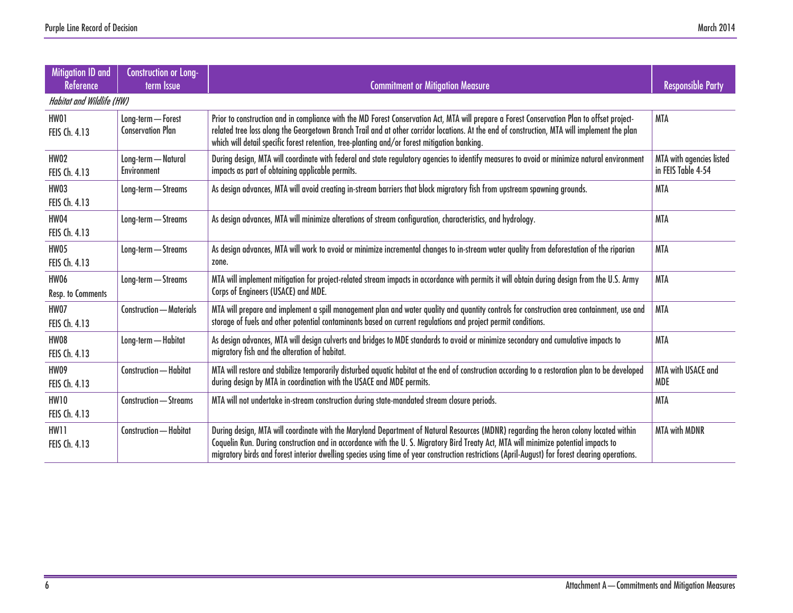| Mitigation ID and<br><b>Reference</b>   | <b>Construction or Long-</b><br>term Issue     | <b>Commitment or Mitigation Measure</b>                                                                                                                                                                                                                                                                                                                                                                                          | <b>Responsible Party</b>                       |  |
|-----------------------------------------|------------------------------------------------|----------------------------------------------------------------------------------------------------------------------------------------------------------------------------------------------------------------------------------------------------------------------------------------------------------------------------------------------------------------------------------------------------------------------------------|------------------------------------------------|--|
| <b>Habitat and Wildlife (HW)</b>        |                                                |                                                                                                                                                                                                                                                                                                                                                                                                                                  |                                                |  |
| HW01<br>FEIS Ch. 4.13                   | Long-term - Forest<br><b>Conservation Plan</b> | Prior to construction and in compliance with the MD Forest Conservation Act, MTA will prepare a Forest Conservation Plan to offset project-<br>related tree loss along the Georgetown Branch Trail and at other corridor locations. At the end of construction, MTA will implement the plan<br>which will detail specific forest retention, tree-planting and/or forest mitigation banking.                                      | <b>MTA</b>                                     |  |
| <b>HW02</b><br>FEIS Ch. 4.13            | Long-term - Natural<br>Environment             | During design, MTA will coordinate with federal and state regulatory agencies to identify measures to avoid or minimize natural environment<br>impacts as part of obtaining applicable permits.                                                                                                                                                                                                                                  | MTA with agencies listed<br>in FEIS Table 4-54 |  |
| HW03<br>FEIS Ch. 4.13                   | Long-term - Streams                            | As design advances, MTA will avoid creating in-stream barriers that block migratory fish from upstream spawning grounds.                                                                                                                                                                                                                                                                                                         | MTA                                            |  |
| HW04<br>FEIS Ch. 4.13                   | Long-term - Streams                            | As design advances, MTA will minimize alterations of stream configuration, characteristics, and hydrology.                                                                                                                                                                                                                                                                                                                       | <b>MTA</b>                                     |  |
| <b>HW05</b><br>FEIS Ch. 4.13            | Long-term - Streams                            | As design advances, MTA will work to avoid or minimize incremental changes to in-stream water quality from deforestation of the riparian<br>zone.                                                                                                                                                                                                                                                                                | <b>MTA</b>                                     |  |
| <b>HW06</b><br><b>Resp. to Comments</b> | Long-term - Streams                            | MTA will implement mitigation for project-related stream impacts in accordance with permits it will obtain during design from the U.S. Army<br>Corps of Engineers (USACE) and MDE.                                                                                                                                                                                                                                               | <b>MTA</b>                                     |  |
| HW07<br>FEIS Ch. 4.13                   | Construction — Materials                       | MTA will prepare and implement a spill management plan and water quality and quantity controls for construction area containment, use and<br>storage of fuels and other potential contaminants based on current regulations and project permit conditions.                                                                                                                                                                       | <b>MTA</b>                                     |  |
| HW08<br>FEIS Ch. 4.13                   | Long-term - Habitat                            | As design advances, MTA will design culverts and bridges to MDE standards to avoid or minimize secondary and cumulative impacts to<br>migratory fish and the alteration of habitat.                                                                                                                                                                                                                                              | <b>MTA</b>                                     |  |
| <b>HW09</b><br>FEIS Ch. 4.13            | Construction - Habitat                         | MTA will restore and stabilize temporarily disturbed aquatic habitat at the end of construction according to a restoration plan to be developed<br>during design by MTA in coordination with the USACE and MDE permits.                                                                                                                                                                                                          | MTA with USACE and<br><b>MDE</b>               |  |
| <b>HW10</b><br>FEIS Ch. 4.13            | Construction - Streams                         | MTA will not undertake in-stream construction during state-mandated stream closure periods.                                                                                                                                                                                                                                                                                                                                      | <b>MTA</b>                                     |  |
| HW11<br>FEIS Ch. 4.13                   | Construction - Habitat                         | During design, MTA will coordinate with the Maryland Department of Natural Resources (MDNR) regarding the heron colony located within<br>Coquelin Run. During construction and in accordance with the U.S. Migratory Bird Treaty Act, MTA will minimize potential impacts to<br>migratory birds and forest interior dwelling species using time of year construction restrictions (April-August) for forest clearing operations. | <b>MTA with MDNR</b>                           |  |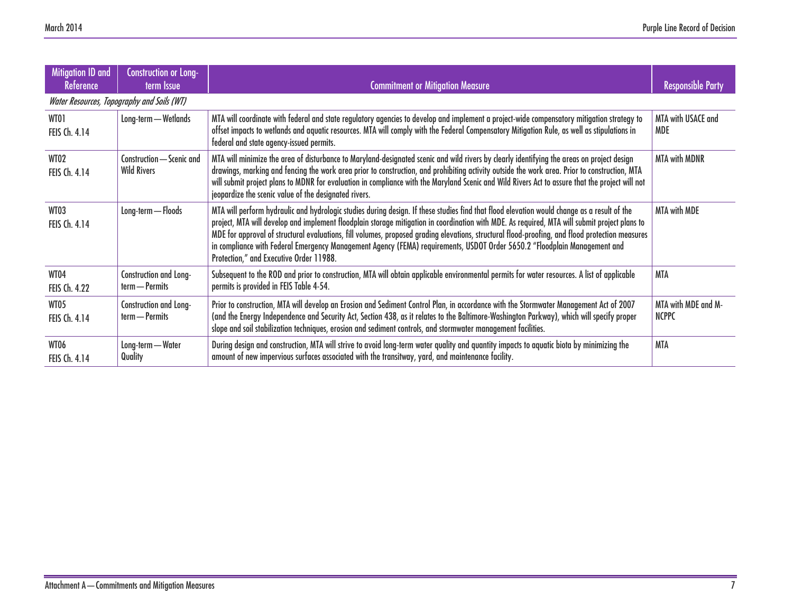| Mitigation ID and<br>Reference | <b>Construction or Long-</b><br>term Issue      | <b>Commitment or Mitigation Measure</b>                                                                                                                                                                                                                                                                                                                                                                                                                                                                                                                                                                                 | <b>Responsible Party</b>            |  |  |
|--------------------------------|-------------------------------------------------|-------------------------------------------------------------------------------------------------------------------------------------------------------------------------------------------------------------------------------------------------------------------------------------------------------------------------------------------------------------------------------------------------------------------------------------------------------------------------------------------------------------------------------------------------------------------------------------------------------------------------|-------------------------------------|--|--|
|                                | Water Resources, Topography and Soils (WT)      |                                                                                                                                                                                                                                                                                                                                                                                                                                                                                                                                                                                                                         |                                     |  |  |
| WT01<br>FEIS Ch. 4.14          | Long-term - Wetlands                            | MTA will coordinate with federal and state regulatory agencies to develop and implement a project-wide compensatory mitigation strategy to<br>offset impacts to wetlands and aquatic resources. MTA will comply with the Federal Compensatory Mitigation Rule, as well as stipulations in<br>federal and state agency-issued permits.                                                                                                                                                                                                                                                                                   | MTA with USACE and<br><b>MDE</b>    |  |  |
| WT02<br>FEIS Ch. 4.14          | Construction - Scenic and<br><b>Wild Rivers</b> | MTA will minimize the area of disturbance to Maryland-designated scenic and wild rivers by clearly identifying the areas on project design<br>drawings, marking and fencing the work area prior to construction, and prohibiting activity outside the work area. Prior to construction, MTA<br>will submit project plans to MDNR for evaluation in compliance with the Maryland Scenic and Wild Rivers Act to assure that the project will not<br>jeopardize the scenic value of the designated rivers.                                                                                                                 | <b>MTA with MDNR</b>                |  |  |
| WT03<br>FEIS Ch. 4.14          | Long-term - Floods                              | MTA will perform hydraulic and hydrologic studies during design. If these studies find that flood elevation would change as a result of the<br>project, MTA will develop and implement floodplain storage mitigation in coordination with MDE. As required, MTA will submit project plans to<br>MDE for approval of structural evaluations, fill volumes, proposed grading elevations, structural flood-proofing, and flood protection measures<br>in compliance with Federal Emergency Management Agency (FEMA) requirements, USDOT Order 5650.2 "Floodplain Management and<br>Protection," and Executive Order 11988. | <b>MTA with MDE</b>                 |  |  |
| WT04<br><b>FEIS Ch. 4.22</b>   | Construction and Long-<br>term — Permits        | Subsequent to the ROD and prior to construction, MTA will obtain applicable environmental permits for water resources. A list of applicable<br>permits is provided in FEIS Table 4-54.                                                                                                                                                                                                                                                                                                                                                                                                                                  | <b>MTA</b>                          |  |  |
| WT05<br>FEIS Ch. 4.14          | Construction and Long-<br>term - Permits        | Prior to construction, MTA will develop an Erosion and Sediment Control Plan, in accordance with the Stormwater Management Act of 2007<br>(and the Energy Independence and Security Act, Section 438, as it relates to the Baltimore-Washington Parkway), which will specify proper<br>slope and soil stabilization techniques, erosion and sediment controls, and stormwater management facilities.                                                                                                                                                                                                                    | MTA with MDE and M-<br><b>NCPPC</b> |  |  |
| WT06<br>FEIS Ch. 4.14          | Long-term - Water<br>Quality                    | During design and construction, MTA will strive to avoid long-term water quality and quantity impacts to aquatic biota by minimizing the<br>amount of new impervious surfaces associated with the transitway, yard, and maintenance facility.                                                                                                                                                                                                                                                                                                                                                                           | MTA                                 |  |  |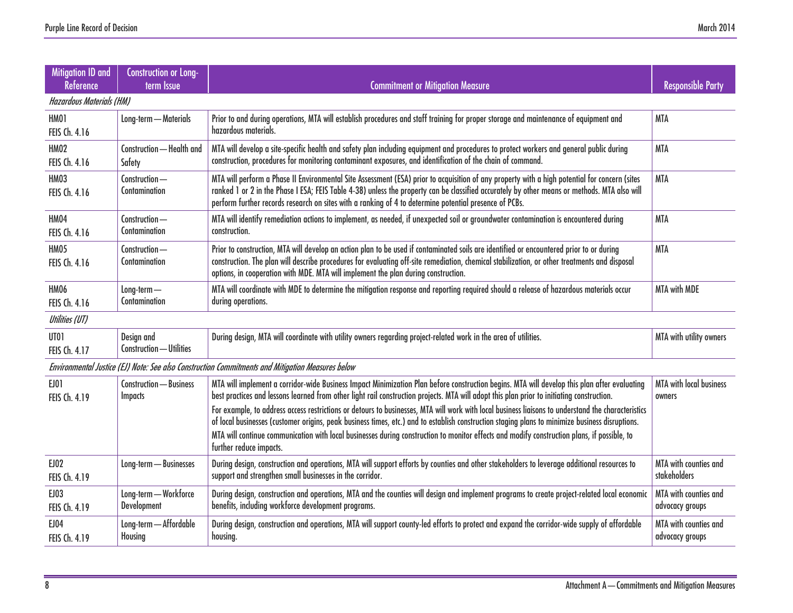| Mitigation ID and<br><b>Reference</b>                                                            | <b>Construction or Long-</b><br>term Issue | <b>Commitment or Mitigation Measure</b>                                                                                                                                                                                                                                                                                                                                                                 | <b>Responsible Party</b>                 |  |  |
|--------------------------------------------------------------------------------------------------|--------------------------------------------|---------------------------------------------------------------------------------------------------------------------------------------------------------------------------------------------------------------------------------------------------------------------------------------------------------------------------------------------------------------------------------------------------------|------------------------------------------|--|--|
|                                                                                                  | <b>Hazardous Materials (HM)</b>            |                                                                                                                                                                                                                                                                                                                                                                                                         |                                          |  |  |
| <b>HM01</b><br>FEIS Ch. 4.16                                                                     | Long-term - Materials                      | Prior to and during operations, MTA will establish procedures and staff training for proper storage and maintenance of equipment and<br>hazardous materials.                                                                                                                                                                                                                                            | <b>MTA</b>                               |  |  |
| <b>HM02</b><br>FEIS Ch. 4.16                                                                     | Construction - Health and<br>Safety        | MTA will develop a site-specific health and safety plan including equipment and procedures to protect workers and general public during<br>construction, procedures for monitoring contaminant exposures, and identification of the chain of command.                                                                                                                                                   | <b>MTA</b>                               |  |  |
| HM03<br>FEIS Ch. 4.16                                                                            | Construction-<br>Contamination             | MTA will perform a Phase II Environmental Site Assessment (ESA) prior to acquisition of any property with a high potential for concern (sites<br>ranked 1 or 2 in the Phase I ESA; FEIS Table 4-38) unless the property can be classified accurately by other means or methods. MTA also will<br>perform further records research on sites with a ranking of 4 to determine potential presence of PCBs. | <b>MTA</b>                               |  |  |
| <b>HM04</b><br>FEIS Ch. 4.16                                                                     | Construction-<br>Contamination             | MTA will identify remediation actions to implement, as needed, if unexpected soil or groundwater contamination is encountered during<br>construction.                                                                                                                                                                                                                                                   | <b>MTA</b>                               |  |  |
| HM05<br>FEIS Ch. 4.16                                                                            | Construction-<br>Contamination             | Prior to construction, MTA will develop an action plan to be used if contaminated soils are identified or encountered prior to or during<br>construction. The plan will describe procedures for evaluating off-site remediation, chemical stabilization, or other treatments and disposal<br>options, in cooperation with MDE. MTA will implement the plan during construction.                         | <b>MTA</b>                               |  |  |
| <b>HM06</b><br>FEIS Ch. 4.16                                                                     | $Long-term -$<br>Contamination             | MTA will coordinate with MDE to determine the mitigation response and reporting required should a release of hazardous materials occur<br>during operations.                                                                                                                                                                                                                                            | <b>MTA with MDE</b>                      |  |  |
| Utilities (UT)                                                                                   |                                            |                                                                                                                                                                                                                                                                                                                                                                                                         |                                          |  |  |
| UT01<br>FEIS Ch. 4.17                                                                            | Design and<br>Construction - Utilities     | During design, MTA will coordinate with utility owners regarding project-related work in the area of utilities.                                                                                                                                                                                                                                                                                         | MTA with utility owners                  |  |  |
| Environmental Justice (EJ) Note: See also Construction Commitments and Mitigation Measures below |                                            |                                                                                                                                                                                                                                                                                                                                                                                                         |                                          |  |  |
| EJ01<br>FEIS Ch. 4.19                                                                            | Construction - Business<br><b>Impacts</b>  | MTA will implement a corridor-wide Business Impact Minimization Plan before construction begins. MTA will develop this plan after evaluating<br>best practices and lessons learned from other light rail construction projects. MTA will adopt this plan prior to initiating construction.                                                                                                              | MTA with local business<br>owners        |  |  |
|                                                                                                  |                                            | For example, to address access restrictions or detours to businesses, MTA will work with local business liaisons to understand the characteristics<br>of local businesses (customer origins, peak business times, etc.) and to establish construction staging plans to minimize business disruptions.                                                                                                   |                                          |  |  |
|                                                                                                  |                                            | MTA will continue communication with local businesses during construction to monitor effects and modify construction plans, if possible, to<br>further reduce impacts.                                                                                                                                                                                                                                  |                                          |  |  |
| <b>EJ02</b><br>FEIS Ch. 4.19                                                                     | Long-term - Businesses                     | During design, construction and operations, MTA will support efforts by counties and other stakeholders to leverage additional resources to<br>support and strengthen small businesses in the corridor.                                                                                                                                                                                                 | MTA with counties and<br>stakeholders    |  |  |
| EJ03<br>FEIS Ch. 4.19                                                                            | Long-term - Workforce<br>Development       | During design, construction and operations, MTA and the counties will design and implement programs to create project-related local economic<br>benefits, including workforce development programs.                                                                                                                                                                                                     | MTA with counties and<br>advocacy groups |  |  |
| <b>EJ04</b><br>FEIS Ch. 4.19                                                                     | Long-term - Affordable<br>Housing          | During design, construction and operations, MTA will support county-led efforts to protect and expand the corridor-wide supply of affordable<br>housing.                                                                                                                                                                                                                                                | MTA with counties and<br>advocacy groups |  |  |